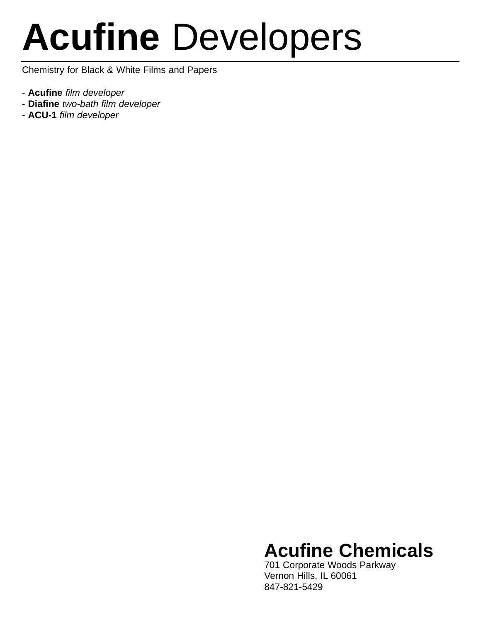# **Acufine** Developers

Chemistry for Black & White Films and Papers

- **Acufine** *film developer*
- **Diafine** *two-bath film developer*
- **ACU-1** *film developer*

### **Acufine Chemicals**

701 Corporate Woods Parkway Vernon Hills, IL 60061 847-821-5429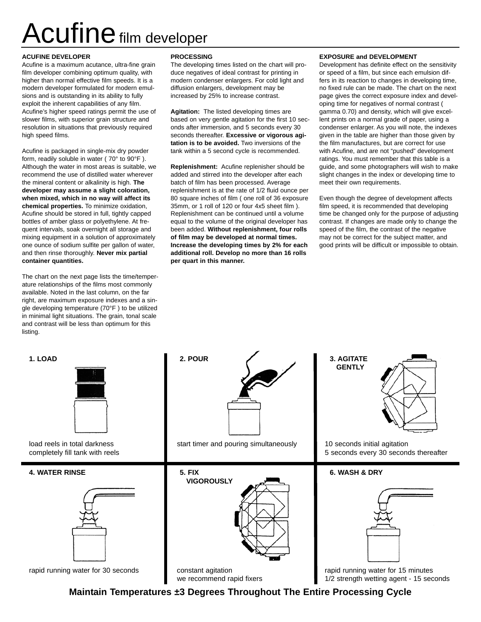## Acufine film developer

### **ACUFINE DEVELOPER**

Acufine is a maximum acutance, ultra-fine grain film developer combining optimum quality, with higher than normal effective film speeds. It is a modern developer formulated for modern emulsions and is outstanding in its ability to fully exploit the inherent capabilities of any film. Acufine's higher speed ratings permit the use of slower films, with superior grain structure and resolution in situations that previously required high speed films.

Acufine is packaged in single-mix dry powder form, readily soluble in water ( 70° to 90°F ). Although the water in most areas is suitable, we recommend the use of distilled water wherever the mineral content or alkalinity is high. **The developer may assume a slight coloration, when mixed, which in no way will affect its chemical properties.** To minimize oxidation, Acufine should be stored in full, tightly capped bottles of amber glass or polyethylene. At frequent intervals, soak overnight all storage and mixing equipment in a solution of approximately one ounce of sodium sulfite per gallon of water, and then rinse thoroughly. **Never mix partial container quantities.**

The chart on the next page lists the time/temperature relationships of the films most commonly available. Noted in the last column, on the far right, are maximum exposure indexes and a single developing temperature (70°F ) to be utilized in minimal light situations. The grain, tonal scale and contrast will be less than optimum for this listing.

### **PROCESSING**

The developing times listed on the chart will produce negatives of ideal contrast for printing in modern condenser enlargers. For cold light and diffusion enlargers, development may be increased by 25% to increase contrast.

**Agitation:** The listed developing times are based on very gentle agitation for the first 10 seconds after immersion, and 5 seconds every 30 seconds thereafter. **Excessive or vigorous agitation is to be avoided.** Two inversions of the tank within a 5 second cycle is recommended.

**Replenishment:** Acufine replenisher should be added and stirred into the developer after each batch of film has been processed. Average replenishment is at the rate of 1/2 fluid ounce per 80 square inches of film ( one roll of 36 exposure 35mm, or 1 roll of 120 or four 4x5 sheet film ). Replenishment can be continued until a volume equal to the volume of the original developer has been added. **Without replenishment, four rolls of film may be developed at normal times. Increase the developing times by 2% for each additional roll. Develop no more than 16 rolls per quart in this manner.**

### **EXPOSURE and DEVELOPMENT**

Development has definite effect on the sensitivity or speed of a film, but since each emulsion differs in its reaction to changes in developing time, no fixed rule can be made. The chart on the next page gives the correct exposure index and developing time for negatives of normal contrast ( gamma 0.70) and density, which will give excellent prints on a normal grade of paper, using a condenser enlarger. As you will note, the indexes given in the table are higher than those given by the film manufactures, but are correct for use with Acufine, and are not "pushed" development ratings. You must remember that this table is a guide, and some photographers will wish to make slight changes in the index or developing time to meet their own requirements.

Even though the degree of development affects film speed, it is recommended that developing time be changed only for the purpose of adjusting contrast. If changes are made only to change the speed of the film, the contrast of the negative may not be correct for the subject matter, and good prints will be difficult or impossible to obtain.



load reels in total darkness completely fill tank with reels

### **4. WATER RINSE 5. FIX**



rapid running water for 30 seconds constant agitation





rapid running water for 15 minutes 1/2 strength wetting agent - 15 seconds

**Maintain Temperatures ±3 Degrees Throughout The Entire Processing Cycle**

we recommend rapid fixers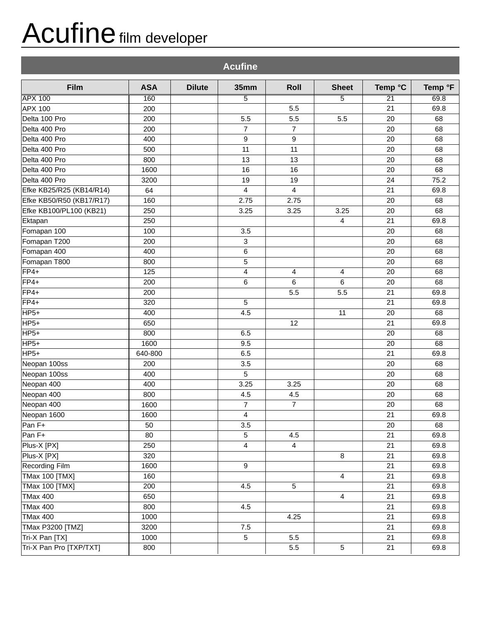## Acufine film developer

| <b>Acufine</b>           |            |               |                  |                |                 |                 |         |  |
|--------------------------|------------|---------------|------------------|----------------|-----------------|-----------------|---------|--|
| Film                     | <b>ASA</b> | <b>Dilute</b> | 35mm             | <b>Roll</b>    | <b>Sheet</b>    | Temp °C         | Temp °F |  |
| <b>APX 100</b>           | 160        |               | $\overline{5}$   |                | 5               | $\overline{21}$ | 69.8    |  |
| <b>APX 100</b>           | 200        |               |                  | 5.5            |                 | 21              | 69.8    |  |
| Delta 100 Pro            | 200        |               | 5.5              | 5.5            | 5.5             | 20              | 68      |  |
| Delta 400 Pro            | 200        |               | $\overline{7}$   | $\overline{7}$ |                 | 20              | 68      |  |
| Delta 400 Pro            | 400        |               | 9                | 9              |                 | 20              | 68      |  |
| Delta 400 Pro            | 500        |               | 11               | 11             |                 | 20              | 68      |  |
| Delta 400 Pro            | 800        |               | 13               | 13             |                 | 20              | 68      |  |
| Delta 400 Pro            | 1600       |               | 16               | 16             |                 | 20              | 68      |  |
| Delta 400 Pro            | 3200       |               | 19               | 19             |                 | 24              | 75.2    |  |
| Efke KB25/R25 (KB14/R14) | 64         |               | 4                | 4              |                 | 21              | 69.8    |  |
| Efke KB50/R50 (KB17/R17) | 160        |               | 2.75             | 2.75           |                 | 20              | 68      |  |
| Efke KB100/PL100 (KB21)  | 250        |               | 3.25             | 3.25           | 3.25            | 20              | 68      |  |
| Ektapan                  | 250        |               |                  |                | $\overline{4}$  | 21              | 69.8    |  |
| Fomapan 100              | 100        |               | 3.5              |                |                 | 20              | 68      |  |
| Fomapan T200             | 200        |               | $\mathbf{3}$     |                |                 | 20              | 68      |  |
| Fomapan 400              | 400        |               | 6                |                |                 | 20              | 68      |  |
| Fomapan T800             | 800        |               | $\sqrt{5}$       |                |                 | 20              | 68      |  |
| $FF4+$                   | 125        |               | 4                | 4              | 4               | 20              | 68      |  |
| FP4+                     | 200        |               | 6                | 6              | 6               | 20              | 68      |  |
| FP4+                     | 200        |               |                  | 5.5            | 5.5             | 21              | 69.8    |  |
| FP4+                     | 320        |               | 5                |                |                 | 21              | 69.8    |  |
| HP <sub>5+</sub>         | 400        |               | 4.5              |                | 11              | 20              | 68      |  |
| HP5+                     | 650        |               |                  | 12             |                 | 21              | 69.8    |  |
| HP <sub>5+</sub>         | 800        |               | 6.5              |                |                 | 20              | 68      |  |
| HP <sub>5+</sub>         | 1600       |               | 9.5              |                |                 | 20              | 68      |  |
| HP <sub>5+</sub>         | 640-800    |               | 6.5              |                |                 | 21              | 69.8    |  |
| Neopan 100ss             | 200        |               | 3.5              |                |                 | 20              | 68      |  |
| Neopan 100ss             | 400        |               | 5                |                |                 | 20              | 68      |  |
| Neopan 400               | 400        |               | 3.25             | 3.25           |                 | 20              | 68      |  |
| Neopan 400               | 800        |               | 4.5              | 4.5            |                 | 20              | 68      |  |
| Neopan 400               | 1600       |               | $\overline{7}$   | $\overline{7}$ |                 | 20              | 68      |  |
| Neopan 1600              | 1600       |               | 4                |                |                 | 21              | 69.8    |  |
| Pan F+                   | 50         |               | 3.5              |                |                 | 20              | 68      |  |
| Pan F+                   | 80         |               | $\sqrt{5}$       | 4.5            |                 | 21              | 69.8    |  |
| Plus-X [PX]              | 250        |               | 4                | $\overline{4}$ |                 | 21              | 69.8    |  |
| Plus-X [PX]              | 320        |               |                  |                | 8               | 21              | 69.8    |  |
| Recording Film           | 1600       |               | $\boldsymbol{9}$ |                |                 | 21              | 69.8    |  |
| TMax 100 [TMX]           | 160        |               |                  |                | 4               | 21              | 69.8    |  |
| <b>TMax 100 [TMX]</b>    | 200        |               | 4.5              | 5              |                 | 21              | 69.8    |  |
| <b>TMax 400</b>          | 650        |               |                  |                | 4               | 21              | 69.8    |  |
| <b>TMax 400</b>          | 800        |               | 4.5              |                |                 | 21              | 69.8    |  |
| <b>TMax 400</b>          | 1000       |               |                  | 4.25           |                 | 21              | 69.8    |  |
| TMax P3200 [TMZ]         | 3200       |               | 7.5              |                |                 | 21              | 69.8    |  |
| Tri-X Pan [TX]           | 1000       |               | $\overline{5}$   | 5.5            |                 | 21              | 69.8    |  |
| Tri-X Pan Pro [TXP/TXT]  | 800        |               |                  | $5.5\,$        | $5\phantom{.0}$ | 21              | 69.8    |  |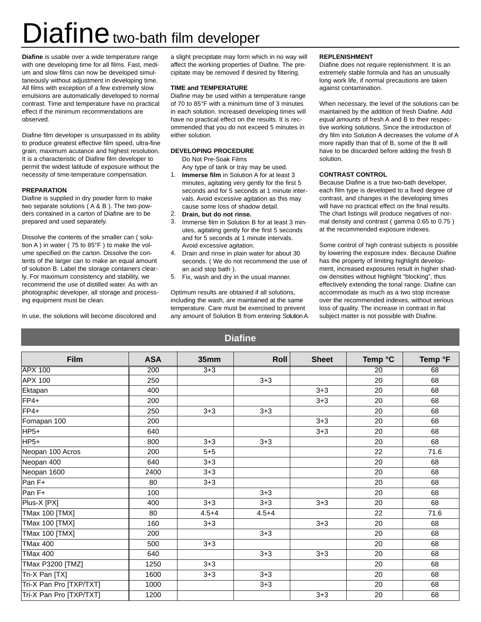## Diafine two-bath film developer

**Diafine** is usable over a wide temperature range with one developing time for all films. Fast, medium and slow films can now be developed simultaneously without adjustment in developing time. All films with exception of a few extremely slow emulsions are automatically developed to normal contrast. Time and temperature have no practical effect if the minimum recommendations are observed.

Diafine film developer is unsurpassed in its ability to produce greatest effective film speed, ultra-fine grain, maximum acutance and highest resolution. It is a characteristic of Diafine film developer to permit the widest latitude of exposure without the necessity of time-temperature compensation.

### **PREPARATION**

Diafine is supplied in dry powder form to make two separate solutions ( A & B ). The two powders contained in a carton of Diafine are to be prepared and used separately.

Dissolve the contents of the smaller can ( solution A ) in water ( 75 to 85°F ) to make the volume specified on the carton. Dissolve the contents of the larger can to make an equal amount of solution B. Label the storage containers clearly. For maximum consistency and stability, we recommend the use of distilled water. As with an photographic developer, all storage and processing equipment must be clean.

In use, the solutions will become discolored and

a slight precipitate may form which in no way will affect the working properties of Diafine. The precipitate may be removed if desired by filtering.

#### **TIME and TEMPERATURE**

Diafine may be used within a temperature range of 70 to 85°F with a minimum time of 3 minutes in each solution. Increased developing times will have no practical effect on the results. It is recommended that you do not exceed 5 minutes in either solution.

### **DEVELOPING PROCEDURE**

Do Not Pre-Soak Films

- 1. **Immerse film** in Solution A for at least 3 Any type of tank or tray may be used. minutes, agitating very gently for the first 5 seconds and for 5 seconds at 1 minute intervals. Avoid excessive agitation as this may
- 2. **Drain, but do not rinse.** cause some loss of shadow detail.
- 3. Immerse film in Solution B for at least 3 minutes, agitating gently for the first 5 seconds and for 5 seconds at 1 minute intervals. Avoid excessive agitation.
- 4. Drain and rinse in plain water for about 30 seconds. ( We do not recommend the use of an acid stop bath ).
- 5. Fix, wash and dry in the usual manner.

Optimum results are obtained if all solutions, including the wash, are maintained at the same temperature. Care must be exercised to prevent any amount of Solution B from entering Solution A.

### **REPLENISHMENT**

Diafine does not require replenishment. It is an extremely stable formula and has an unusually long work life, if normal precautions are taken against contamination.

When necessary, the level of the solutions can be maintained by the addition of fresh Diafine. Add *equal amounts* of fresh A and B to their respective working solutions. Since the introduction of dry film into Solution A decreases the volume of A more rapidly than that of B, some of the B will have to be discarded before adding the fresh B solution.

### **CONTRAST CONTROL**

Because Diafine is a true two-bath developer, each film type is developed to a fixed degree of contrast, and changes in the developing times will have no practical effect on the final results. The chart listings will produce negatives of normal density and contrast ( gamma 0.65 to 0.75 ) at the recommended exposure indexes.

Some control of high contrast subjects is possible by lowering the exposure index. Because Diafine has the property of limiting highlight development, increased exposures result in higher shadow densities without highlight "blocking", thus effectively extending the tonal range. Diafine can accommodate as much as a two stop increase over the recommended indexes, without serious loss of quality. The increase in contrast in flat subject matter is not possible with Diafine.

|                         |            |           | <b>Diafine</b> |              |                 |         |
|-------------------------|------------|-----------|----------------|--------------|-----------------|---------|
| <b>Film</b>             | <b>ASA</b> | 35mm      | <b>Roll</b>    | <b>Sheet</b> | Temp °C         | Temp °F |
| <b>APX 100</b>          | 200        | $3 + 3$   |                |              | $\overline{20}$ | 68      |
| <b>APX 100</b>          | 250        |           | $3 + 3$        |              | 20              | 68      |
| Ektapan                 | 400        |           |                | $3 + 3$      | 20              | 68      |
| $FP4+$                  | 200        |           |                | $3 + 3$      | 20              | 68      |
| FP4+                    | 250        | $3 + 3$   | $3 + 3$        |              | 20              | 68      |
| Fomapan 100             | 200        |           |                | $3 + 3$      | 20              | 68      |
| HP5+                    | 640        |           |                | $3 + 3$      | 20              | 68      |
| HP5+                    | 800        | $3 + 3$   | $3 + 3$        |              | 20              | 68      |
| Neopan 100 Acros        | 200        | $5 + 5$   |                |              | 22              | 71.6    |
| Neopan 400              | 640        | $3 + 3$   |                |              | 20              | 68      |
| Neopan 1600             | 2400       | $3 + 3$   |                |              | 20              | 68      |
| Pan F+                  | 80         | $3 + 3$   |                |              | 20              | 68      |
| Pan F+                  | 100        |           | $3 + 3$        |              | 20              | 68      |
| Plus-X [PX]             | 400        | $3 + 3$   | $3 + 3$        | $3 + 3$      | 20              | 68      |
| <b>TMax 100 [TMX]</b>   | 80         | $4.5 + 4$ | $4.5 + 4$      |              | 22              | 71.6    |
| <b>TMax 100 [TMX]</b>   | 160        | $3 + 3$   |                | $3 + 3$      | 20              | 68      |
| <b>TMax 100 [TMX]</b>   | 200        |           | $3 + 3$        |              | 20              | 68      |
| <b>TMax 400</b>         | 500        | $3 + 3$   |                |              | 20              | 68      |
| <b>TMax 400</b>         | 640        |           | $3 + 3$        | $3 + 3$      | 20              | 68      |
| <b>TMax P3200 [TMZ]</b> | 1250       | $3 + 3$   |                |              | 20              | 68      |
| Tri-X Pan [TX]          | 1600       | $3 + 3$   | $3 + 3$        |              | 20              | 68      |
| Tri-X Pan Pro [TXP/TXT] | 1000       |           | $3 + 3$        |              | 20              | 68      |
| Tri-X Pan Pro [TXP/TXT] | 1200       |           |                | $3 + 3$      | 20              | 68      |